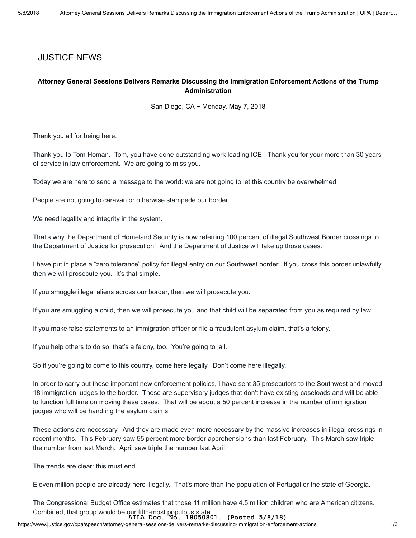## JUSTICE NEWS

## Attorney General Sessions Delivers Remarks Discussing the Immigration Enforcement Actions of the Trump Administration

San Diego, CA ~ Monday, May 7, 2018

Thank you all for being here.

Thank you to Tom Homan. Tom, you have done outstanding work leading ICE. Thank you for your more than 30 years of service in law enforcement. We are going to miss you.

Today we are here to send a message to the world: we are not going to let this country be overwhelmed.

People are not going to caravan or otherwise stampede our border.

We need legality and integrity in the system.

That's why the Department of Homeland Security is now referring 100 percent of illegal Southwest Border crossings to the Department of Justice for prosecution. And the Department of Justice will take up those cases.

I have put in place a "zero tolerance" policy for illegal entry on our Southwest border. If you cross this border unlawfully, then we will prosecute you. It's that simple.

If you smuggle illegal aliens across our border, then we will prosecute you.

If you are smuggling a child, then we will prosecute you and that child will be separated from you as required by law.

If you make false statements to an immigration officer or file a fraudulent asylum claim, that's a felony.

If you help others to do so, that's a felony, too. You're going to jail.

So if you're going to come to this country, come here legally. Don't come here illegally.

In order to carry out these important new enforcement policies, I have sent 35 prosecutors to the Southwest and moved 18 immigration judges to the border. These are supervisory judges that don't have existing caseloads and will be able to function full time on moving these cases. That will be about a 50 percent increase in the number of immigration judges who will be handling the asylum claims.

These actions are necessary. And they are made even more necessary by the massive increases in illegal crossings in recent months. This February saw 55 percent more border apprehensions than last February. This March saw triple the number from last March. April saw triple the number last April.

The trends are clear: this must end.

Eleven million people are already here illegally. That's more than the population of Portugal or the state of Georgia.

The Congressional Budget Office estimates that those 11 million have 4.5 million children who are American citizens. Combined, that group would be our fifth-most populous state.

**AILA Doc. No. 18050801. (Posted 5/8/18)**

https://www.justice.gov/opa/speech/attorney-general-sessions-delivers-remarks-discussing-immigration-enforcement-actions 1/3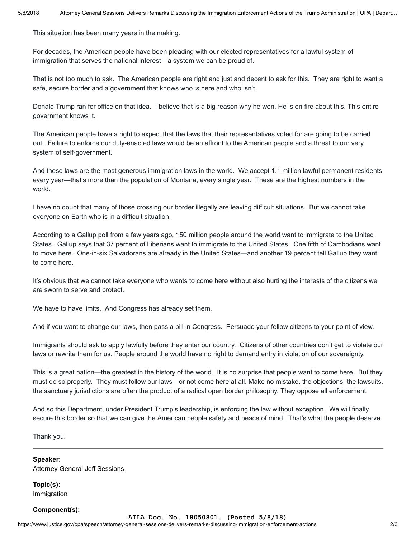This situation has been many years in the making.

For decades, the American people have been pleading with our elected representatives for a lawful system of immigration that serves the national interest—a system we can be proud of.

That is not too much to ask. The American people are right and just and decent to ask for this. They are right to want a safe, secure border and a government that knows who is here and who isn't.

Donald Trump ran for office on that idea. I believe that is a big reason why he won. He is on fire about this. This entire government knows it.

The American people have a right to expect that the laws that their representatives voted for are going to be carried out. Failure to enforce our duly-enacted laws would be an affront to the American people and a threat to our very system of self-government.

And these laws are the most generous immigration laws in the world. We accept 1.1 million lawful permanent residents every year—that's more than the population of Montana, every single year. These are the highest numbers in the world.

I have no doubt that many of those crossing our border illegally are leaving difficult situations. But we cannot take everyone on Earth who is in a difficult situation.

According to a Gallup poll from a few years ago, 150 million people around the world want to immigrate to the United States. Gallup says that 37 percent of Liberians want to immigrate to the United States. One fifth of Cambodians want to move here. One-in-six Salvadorans are already in the United States—and another 19 percent tell Gallup they want to come here.

It's obvious that we cannot take everyone who wants to come here without also hurting the interests of the citizens we are sworn to serve and protect.

We have to have limits. And Congress has already set them.

And if you want to change our laws, then pass a bill in Congress. Persuade your fellow citizens to your point of view.

Immigrants should ask to apply lawfully before they enter our country. Citizens of other countries don't get to violate our laws or rewrite them for us. People around the world have no right to demand entry in violation of our sovereignty.

This is a great nation—the greatest in the history of the world. It is no surprise that people want to come here. But they must do so properly. They must follow our laws—or not come here at all. Make no mistake, the objections, the lawsuits, the sanctuary jurisdictions are often the product of a radical open border philosophy. They oppose all enforcement.

And so this Department, under President Trump's leadership, is enforcing the law without exception. We will finally secure this border so that we can give the American people safety and peace of mind. That's what the people deserve.

Thank you.

Speaker: **[Attorney General Jeff Sessions](https://www.justice.gov/ag/staff-profile/meet-attorney-general)** 

Topic(s): Immigration

## Component(s):

https://www.justice.gov/opa/speech/attorney-general-sessions-delivers-remarks-discussing-immigration-enforcement-actions 2/3 **AILA Doc. No. 18050801. (Posted 5/8/18)**